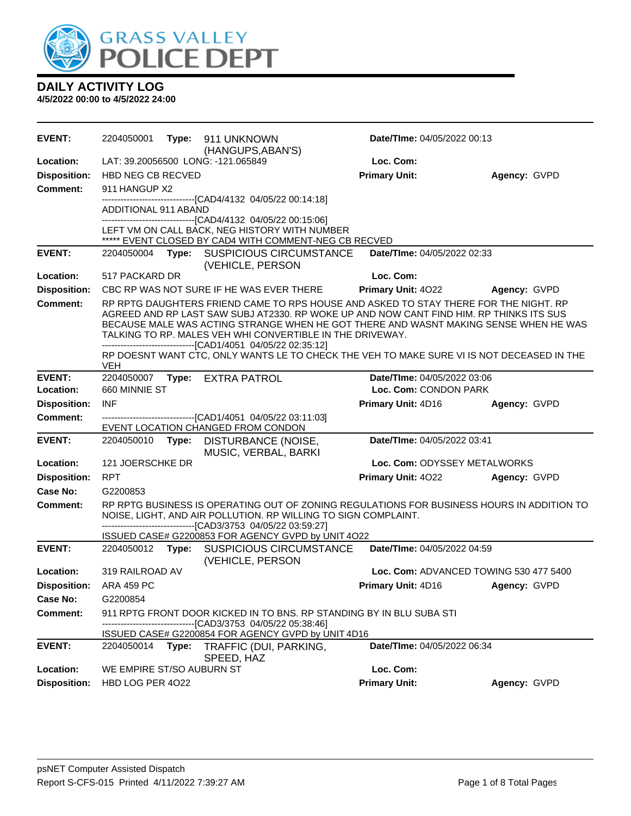

| <b>EVENT:</b>           | 2204050001                                                                                                                                                                                                                                                                                                                                                                                           |  | Type: 911 UNKNOWN<br>(HANGUPS, ABAN'S)                                                                                                                                                                                                                                     | <b>Date/TIme: 04/05/2022 00:13</b> |                                        |
|-------------------------|------------------------------------------------------------------------------------------------------------------------------------------------------------------------------------------------------------------------------------------------------------------------------------------------------------------------------------------------------------------------------------------------------|--|----------------------------------------------------------------------------------------------------------------------------------------------------------------------------------------------------------------------------------------------------------------------------|------------------------------------|----------------------------------------|
| Location:               |                                                                                                                                                                                                                                                                                                                                                                                                      |  | LAT: 39.20056500 LONG: -121.065849                                                                                                                                                                                                                                         | Loc. Com:                          |                                        |
| <b>Disposition:</b>     | <b>HBD NEG CB RECVED</b>                                                                                                                                                                                                                                                                                                                                                                             |  |                                                                                                                                                                                                                                                                            | <b>Primary Unit:</b>               | Agency: GVPD                           |
| <b>Comment:</b>         | 911 HANGUP X2                                                                                                                                                                                                                                                                                                                                                                                        |  |                                                                                                                                                                                                                                                                            |                                    |                                        |
|                         | -------------------------------[CAD4/4132 04/05/22 00:14:18]<br>ADDITIONAL 911 ABAND                                                                                                                                                                                                                                                                                                                 |  |                                                                                                                                                                                                                                                                            |                                    |                                        |
|                         |                                                                                                                                                                                                                                                                                                                                                                                                      |  | -------------------------------[CAD4/4132 04/05/22 00:15:06]<br>LEFT VM ON CALL BACK, NEG HISTORY WITH NUMBER<br>***** EVENT CLOSED BY CAD4 WITH COMMENT-NEG CB RECVED                                                                                                     |                                    |                                        |
| <b>EVENT:</b>           | 2204050004                                                                                                                                                                                                                                                                                                                                                                                           |  | Type: SUSPICIOUS CIRCUMSTANCE<br>(VEHICLE, PERSON                                                                                                                                                                                                                          | Date/TIme: 04/05/2022 02:33        |                                        |
| Location:               | 517 PACKARD DR                                                                                                                                                                                                                                                                                                                                                                                       |  |                                                                                                                                                                                                                                                                            | Loc. Com:                          |                                        |
| <b>Disposition:</b>     |                                                                                                                                                                                                                                                                                                                                                                                                      |  | CBC RP WAS NOT SURE IF HE WAS EVER THERE                                                                                                                                                                                                                                   | <b>Primary Unit: 4022</b>          | Agency: GVPD                           |
| <b>Comment:</b>         | RP RPTG DAUGHTERS FRIEND CAME TO RPS HOUSE AND ASKED TO STAY THERE FOR THE NIGHT. RP<br>AGREED AND RP LAST SAW SUBJ AT2330. RP WOKE UP AND NOW CANT FIND HIM. RP THINKS ITS SUS<br>BECAUSE MALE WAS ACTING STRANGE WHEN HE GOT THERE AND WASNT MAKING SENSE WHEN HE WAS<br>TALKING TO RP. MALES VEH WHI CONVERTIBLE IN THE DRIVEWAY.<br>-------------------------------[CAD1/4051 04/05/22 02:35:12] |  |                                                                                                                                                                                                                                                                            |                                    |                                        |
|                         | <b>VEH</b>                                                                                                                                                                                                                                                                                                                                                                                           |  | RP DOESNT WANT CTC, ONLY WANTS LE TO CHECK THE VEH TO MAKE SURE VI IS NOT DECEASED IN THE                                                                                                                                                                                  |                                    |                                        |
| <b>EVENT:</b>           | 2204050007                                                                                                                                                                                                                                                                                                                                                                                           |  | Type: EXTRA PATROL                                                                                                                                                                                                                                                         | Date/TIme: 04/05/2022 03:06        |                                        |
| Location:               | 660 MINNIE ST                                                                                                                                                                                                                                                                                                                                                                                        |  |                                                                                                                                                                                                                                                                            | Loc. Com: CONDON PARK              |                                        |
| <b>Disposition:</b>     | <b>INF</b>                                                                                                                                                                                                                                                                                                                                                                                           |  |                                                                                                                                                                                                                                                                            | Primary Unit: 4D16                 | Agency: GVPD                           |
| <b>Comment:</b>         |                                                                                                                                                                                                                                                                                                                                                                                                      |  | EVENT LOCATION CHANGED FROM CONDON                                                                                                                                                                                                                                         |                                    |                                        |
| <b>EVENT:</b>           | 2204050010                                                                                                                                                                                                                                                                                                                                                                                           |  | Type: DISTURBANCE (NOISE,<br>MUSIC, VERBAL, BARKI                                                                                                                                                                                                                          | Date/TIme: 04/05/2022 03:41        |                                        |
| Location:               | 121 JOERSCHKE DR                                                                                                                                                                                                                                                                                                                                                                                     |  |                                                                                                                                                                                                                                                                            | Loc. Com: ODYSSEY METALWORKS       |                                        |
| <b>Disposition:</b>     | <b>RPT</b>                                                                                                                                                                                                                                                                                                                                                                                           |  |                                                                                                                                                                                                                                                                            | Primary Unit: 4022                 | Agency: GVPD                           |
| Case No:                | G2200853                                                                                                                                                                                                                                                                                                                                                                                             |  |                                                                                                                                                                                                                                                                            |                                    |                                        |
| Comment:                |                                                                                                                                                                                                                                                                                                                                                                                                      |  | RP RPTG BUSINESS IS OPERATING OUT OF ZONING REGULATIONS FOR BUSINESS HOURS IN ADDITION TO<br>NOISE, LIGHT, AND AIR POLLUTION. RP WILLING TO SIGN COMPLAINT.<br>------------------------[CAD3/3753_04/05/22_03:59:27]<br>ISSUED CASE# G2200853 FOR AGENCY GVPD by UNIT 4O22 |                                    |                                        |
| <b>EVENT:</b>           |                                                                                                                                                                                                                                                                                                                                                                                                      |  | 2204050012 Type: SUSPICIOUS CIRCUMSTANCE                                                                                                                                                                                                                                   | Date/TIme: 04/05/2022 04:59        |                                        |
| Location:               |                                                                                                                                                                                                                                                                                                                                                                                                      |  |                                                                                                                                                                                                                                                                            |                                    |                                        |
|                         | 319 RAILROAD AV                                                                                                                                                                                                                                                                                                                                                                                      |  | (VEHICLE, PERSON                                                                                                                                                                                                                                                           |                                    | Loc. Com: ADVANCED TOWING 530 477 5400 |
| Disposition: ARA 459 PC |                                                                                                                                                                                                                                                                                                                                                                                                      |  |                                                                                                                                                                                                                                                                            | Primary Unit: 4D16                 | Agency: GVPD                           |
| Case No:                | G2200854                                                                                                                                                                                                                                                                                                                                                                                             |  |                                                                                                                                                                                                                                                                            |                                    |                                        |
| <b>Comment:</b>         |                                                                                                                                                                                                                                                                                                                                                                                                      |  | 911 RPTG FRONT DOOR KICKED IN TO BNS. RP STANDING BY IN BLU SUBA STI                                                                                                                                                                                                       |                                    |                                        |
|                         |                                                                                                                                                                                                                                                                                                                                                                                                      |  | --------------------------------[CAD3/3753 04/05/22 05:38:46]<br>ISSUED CASE# G2200854 FOR AGENCY GVPD by UNIT 4D16                                                                                                                                                        |                                    |                                        |
| <b>EVENT:</b>           |                                                                                                                                                                                                                                                                                                                                                                                                      |  | 2204050014 Type: TRAFFIC (DUI, PARKING,<br>SPEED, HAZ                                                                                                                                                                                                                      | Date/TIme: 04/05/2022 06:34        |                                        |
| Location:               | WE EMPIRE ST/SO AUBURN ST                                                                                                                                                                                                                                                                                                                                                                            |  |                                                                                                                                                                                                                                                                            | Loc. Com:                          |                                        |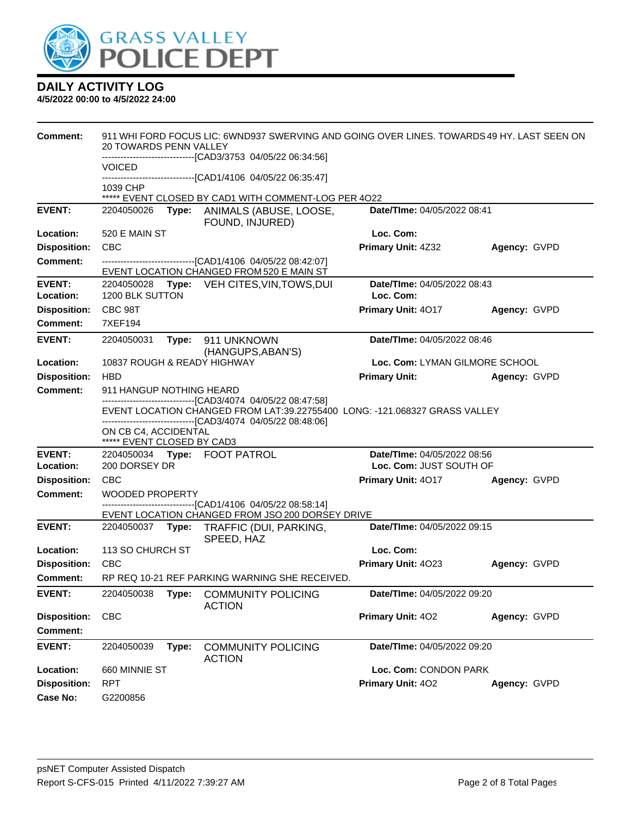

| <b>Comment:</b>                        | <b>20 TOWARDS PENN VALLEY</b>                      |       | 911 WHI FORD FOCUS LIC: 6WND937 SWERVING AND GOING OVER LINES. TOWARDS 49 HY. LAST SEEN ON<br>----------------------------[CAD3/3753_04/05/22_06:34:56] |                                          |              |
|----------------------------------------|----------------------------------------------------|-------|---------------------------------------------------------------------------------------------------------------------------------------------------------|------------------------------------------|--------------|
|                                        | <b>VOICED</b>                                      |       |                                                                                                                                                         |                                          |              |
|                                        | 1039 CHP                                           |       | -------------------------------[CAD1/4106 04/05/22 06:35:47]<br>***** EVENT CLOSED BY CAD1 WITH COMMENT-LOG PER 4022                                    |                                          |              |
| <b>EVENT:</b>                          | 2204050026                                         | Type: | ANIMALS (ABUSE, LOOSE,                                                                                                                                  | Date/TIme: 04/05/2022 08:41              |              |
|                                        |                                                    |       | FOUND, INJURED)                                                                                                                                         |                                          |              |
| Location:                              | 520 E MAIN ST                                      |       |                                                                                                                                                         | Loc. Com:                                |              |
| <b>Disposition:</b>                    | <b>CBC</b>                                         |       |                                                                                                                                                         | Primary Unit: 4Z32                       | Agency: GVPD |
| <b>Comment:</b>                        |                                                    |       | -------------------------------[CAD1/4106 04/05/22 08:42:07]<br>EVENT LOCATION CHANGED FROM 520 E MAIN ST                                               |                                          |              |
| <b>EVENT:</b><br>Location:             | 2204050028<br>1200 BLK SUTTON                      |       | Type: VEH CITES, VIN, TOWS, DUI                                                                                                                         | Date/TIme: 04/05/2022 08:43<br>Loc. Com: |              |
| <b>Disposition:</b>                    | CBC 98T                                            |       |                                                                                                                                                         | Primary Unit: 4017                       | Agency: GVPD |
| <b>Comment:</b>                        | 7XEF194                                            |       |                                                                                                                                                         |                                          |              |
| <b>EVENT:</b>                          | 2204050031                                         | Type: | 911 UNKNOWN<br>(HANGUPS, ABAN'S)                                                                                                                        | Date/TIme: 04/05/2022 08:46              |              |
| Location:                              | 10837 ROUGH & READY HIGHWAY                        |       |                                                                                                                                                         | Loc. Com: LYMAN GILMORE SCHOOL           |              |
| <b>Disposition:</b>                    | <b>HBD</b>                                         |       |                                                                                                                                                         | <b>Primary Unit:</b>                     | Agency: GVPD |
| <b>Comment:</b>                        | 911 HANGUP NOTHING HEARD                           |       |                                                                                                                                                         |                                          |              |
|                                        |                                                    |       | -------------------------[CAD3/4074_04/05/22 08:47:58]<br>EVENT LOCATION CHANGED FROM LAT:39.22755400 LONG: -121.068327 GRASS VALLEY                    |                                          |              |
|                                        |                                                    |       | ------------------------------[CAD3/4074 04/05/22 08:48:06]                                                                                             |                                          |              |
|                                        | ON CB C4, ACCIDENTAL<br>***** EVENT CLOSED BY CAD3 |       |                                                                                                                                                         |                                          |              |
| <b>EVENT:</b>                          |                                                    |       | 2204050034 Type: FOOT PATROL                                                                                                                            | Date/TIme: 04/05/2022 08:56              |              |
| Location:                              | 200 DORSEY DR                                      |       |                                                                                                                                                         | Loc. Com: JUST SOUTH OF                  |              |
| <b>Disposition:</b><br><b>Comment:</b> | <b>CBC</b>                                         |       |                                                                                                                                                         | Primary Unit: 4017                       | Agency: GVPD |
|                                        | <b>WOODED PROPERTY</b>                             |       | -------------------------------[CAD1/4106 04/05/22 08:58:14]                                                                                            |                                          |              |
|                                        |                                                    |       | EVENT LOCATION CHANGED FROM JSO 200 DORSEY DRIVE                                                                                                        |                                          |              |
| <b>EVENT:</b>                          | 2204050037 Type:                                   |       | TRAFFIC (DUI, PARKING,<br>SPEED, HAZ                                                                                                                    | Date/TIme: 04/05/2022 09:15              |              |
| Location:                              | 113 SO CHURCH ST                                   |       |                                                                                                                                                         | Loc. Com:                                |              |
| <b>Disposition:</b>                    | <b>CBC</b>                                         |       |                                                                                                                                                         | Primary Unit: 4023                       | Agency: GVPD |
| <b>Comment:</b>                        |                                                    |       | RP REQ 10-21 REF PARKING WARNING SHE RECEIVED.                                                                                                          |                                          |              |
| <b>EVENT:</b>                          | 2204050038                                         | Type: | <b>COMMUNITY POLICING</b><br><b>ACTION</b>                                                                                                              | Date/TIme: 04/05/2022 09:20              |              |
| <b>Disposition:</b>                    | <b>CBC</b>                                         |       |                                                                                                                                                         | Primary Unit: 402                        | Agency: GVPD |
| <b>Comment:</b>                        |                                                    |       |                                                                                                                                                         |                                          |              |
| <b>EVENT:</b>                          | 2204050039                                         | Type: | <b>COMMUNITY POLICING</b><br><b>ACTION</b>                                                                                                              | Date/TIme: 04/05/2022 09:20              |              |
| Location:                              | 660 MINNIE ST                                      |       |                                                                                                                                                         | Loc. Com: CONDON PARK                    |              |
| <b>Disposition:</b>                    | <b>RPT</b>                                         |       |                                                                                                                                                         | Primary Unit: 402                        | Agency: GVPD |
| <b>Case No:</b>                        | G2200856                                           |       |                                                                                                                                                         |                                          |              |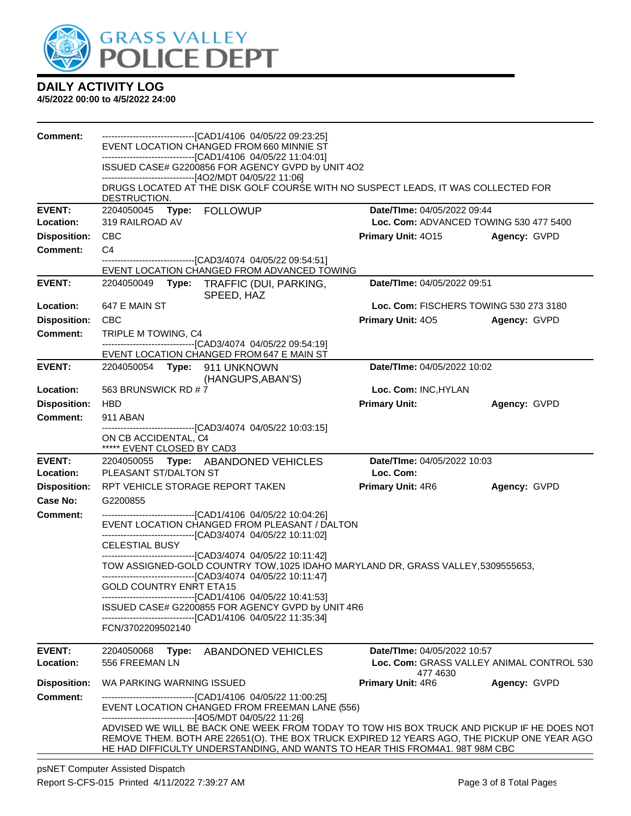

#### **4/5/2022 00:00 to 4/5/2022 24:00**

| <b>Comment:</b>     | -------------------------------[CAD1/4106 04/05/22 09:23:25]<br>EVENT LOCATION CHANGED FROM 660 MINNIE ST<br>-------------------------------[CAD1/4106 04/05/22 11:04:01]                                                                                                                                                            |                                        |                                           |  |  |
|---------------------|--------------------------------------------------------------------------------------------------------------------------------------------------------------------------------------------------------------------------------------------------------------------------------------------------------------------------------------|----------------------------------------|-------------------------------------------|--|--|
|                     | ISSUED CASE# G2200856 FOR AGENCY GVPD by UNIT 4O2<br>------------------------------[4O2/MDT 04/05/22 11:06]                                                                                                                                                                                                                          |                                        |                                           |  |  |
|                     | DRUGS LOCATED AT THE DISK GOLF COURSE WITH NO SUSPECT LEADS, IT WAS COLLECTED FOR<br>DESTRUCTION.                                                                                                                                                                                                                                    |                                        |                                           |  |  |
| <b>EVENT:</b>       | 2204050045 Type: FOLLOWUP                                                                                                                                                                                                                                                                                                            | <b>Date/TIme: 04/05/2022 09:44</b>     |                                           |  |  |
| Location:           | 319 RAILROAD AV                                                                                                                                                                                                                                                                                                                      | Loc. Com: ADVANCED TOWING 530 477 5400 |                                           |  |  |
| <b>Disposition:</b> | <b>CBC</b>                                                                                                                                                                                                                                                                                                                           | <b>Primary Unit: 4015</b>              | Agency: GVPD                              |  |  |
| Comment:            | C <sub>4</sub><br>---------------------[CAD3/4074_04/05/22_09:54:51]<br>EVENT LOCATION CHANGED FROM ADVANCED TOWING                                                                                                                                                                                                                  |                                        |                                           |  |  |
| <b>EVENT:</b>       | 2204050049 Type: TRAFFIC (DUI, PARKING,<br>SPEED, HAZ                                                                                                                                                                                                                                                                                | Date/TIme: 04/05/2022 09:51            |                                           |  |  |
| Location:           | 647 E MAIN ST                                                                                                                                                                                                                                                                                                                        | Loc. Com: FISCHERS TOWING 530 273 3180 |                                           |  |  |
| <b>Disposition:</b> | <b>CBC</b>                                                                                                                                                                                                                                                                                                                           | <b>Primary Unit: 405</b>               | Agency: GVPD                              |  |  |
| <b>Comment:</b>     | TRIPLE M TOWING, C4<br>-------------------------------[CAD3/4074_04/05/22_09:54:19]                                                                                                                                                                                                                                                  |                                        |                                           |  |  |
|                     | EVENT LOCATION CHANGED FROM 647 E MAIN ST                                                                                                                                                                                                                                                                                            |                                        |                                           |  |  |
| <b>EVENT:</b>       | 2204050054 Type: 911 UNKNOWN<br>(HANGUPS, ABAN'S)                                                                                                                                                                                                                                                                                    | Date/TIme: 04/05/2022 10:02            |                                           |  |  |
| Location:           | 563 BRUNSWICK RD #7                                                                                                                                                                                                                                                                                                                  | Loc. Com: INC, HYLAN                   |                                           |  |  |
| <b>Disposition:</b> | <b>HBD</b>                                                                                                                                                                                                                                                                                                                           | <b>Primary Unit:</b>                   | Agency: GVPD                              |  |  |
| <b>Comment:</b>     | 911 ABAN                                                                                                                                                                                                                                                                                                                             |                                        |                                           |  |  |
|                     | -------------------------------[CAD3/4074_04/05/22 10:03:15]<br>ON CB ACCIDENTAL, C4                                                                                                                                                                                                                                                 |                                        |                                           |  |  |
| <b>EVENT:</b>       | ***** EVENT CLOSED BY CAD3<br>2204050055 Type: ABANDONED VEHICLES                                                                                                                                                                                                                                                                    | Date/TIme: 04/05/2022 10:03            |                                           |  |  |
| Location:           | PLEASANT ST/DALTON ST                                                                                                                                                                                                                                                                                                                | Loc. Com:                              |                                           |  |  |
| <b>Disposition:</b> | RPT VEHICLE STORAGE REPORT TAKEN                                                                                                                                                                                                                                                                                                     | <b>Primary Unit: 4R6</b>               | Agency: GVPD                              |  |  |
| Case No:            | G2200855                                                                                                                                                                                                                                                                                                                             |                                        |                                           |  |  |
| Comment:            | ---------------------------------[CAD1/4106 04/05/22 10:04:26]<br>EVENT LOCATION CHANGED FROM PLEASANT / DALTON<br>-------------------------------[CAD3/4074_04/05/22 10:11:02]                                                                                                                                                      |                                        |                                           |  |  |
|                     | <b>CELESTIAL BUSY</b>                                                                                                                                                                                                                                                                                                                |                                        |                                           |  |  |
|                     | ------------------------------[CAD3/4074_04/05/22 10:11:42]<br>TOW ASSIGNED-GOLD COUNTRY TOW, 1025 IDAHO MARYLAND DR, GRASS VALLEY, 5309555653,                                                                                                                                                                                      |                                        |                                           |  |  |
|                     | ------------------------------[CAD3/4074_04/05/22 10:11:47]<br><b>GOLD COUNTRY ENRT ETA15</b>                                                                                                                                                                                                                                        |                                        |                                           |  |  |
|                     | ------------------------------[CAD1/4106 04/05/22 10:41:53]<br>ISSUED CASE# G2200855 FOR AGENCY GVPD by UNIT 4R6                                                                                                                                                                                                                     |                                        |                                           |  |  |
|                     | ------------------------------[CAD1/4106 04/05/22 11:35:34]<br>FCN/3702209502140                                                                                                                                                                                                                                                     |                                        |                                           |  |  |
| <b>EVENT:</b>       | 2204050068<br>Type: ABANDONED VEHICLES                                                                                                                                                                                                                                                                                               | Date/TIme: 04/05/2022 10:57            |                                           |  |  |
| Location:           | 556 FREEMAN LN                                                                                                                                                                                                                                                                                                                       | 477 4630                               | Loc. Com: GRASS VALLEY ANIMAL CONTROL 530 |  |  |
| <b>Disposition:</b> | WA PARKING WARNING ISSUED                                                                                                                                                                                                                                                                                                            | Primary Unit: 4R6                      | Agency: GVPD                              |  |  |
| <b>Comment:</b>     | ---------------------------[CAD1/4106_04/05/22 11:00:25]<br>EVENT LOCATION CHANGED FROM FREEMAN LANE (556)                                                                                                                                                                                                                           |                                        |                                           |  |  |
|                     | ------------------------------[4O5/MDT 04/05/22 11:26]<br>ADVISED WE WILL BE BACK ONE WEEK FROM TODAY TO TOW HIS BOX TRUCK AND PICKUP IF HE DOES NOT<br>REMOVE THEM. BOTH ARE 22651(O). THE BOX TRUCK EXPIRED 12 YEARS AGO, THE PICKUP ONE YEAR AGO.<br>HE HAD DIFFICULTY UNDERSTANDING, AND WANTS TO HEAR THIS FROM4A1. 98T 98M CBC |                                        |                                           |  |  |

psNET Computer Assisted Dispatch Report S-CFS-015 Printed 4/11/2022 7:39:27 AM Page 3 of 8 Total Pages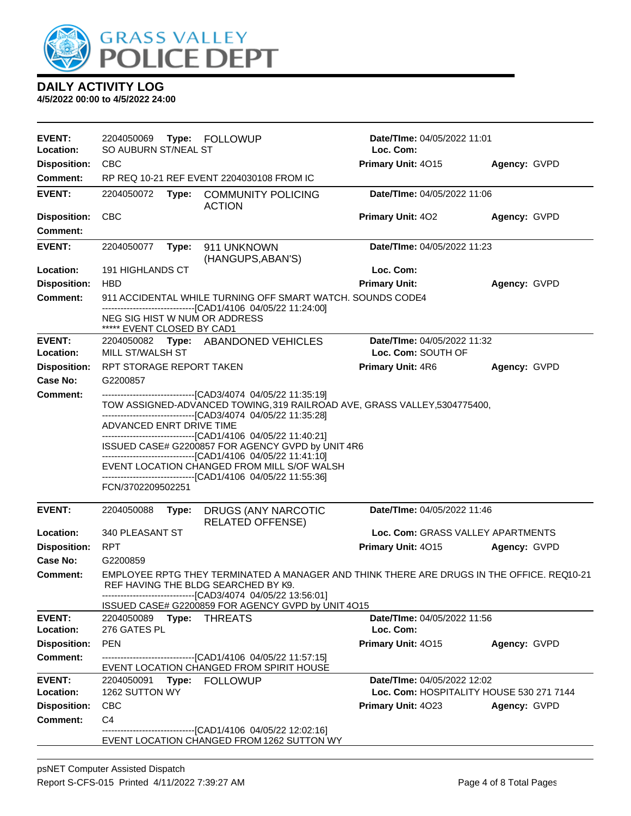

| <b>EVENT:</b><br>Location: | 2204050069<br>Type: FOLLOWUP<br>SO AUBURN ST/NEAL ST<br><b>CBC</b>                                                                                                               |                          |                                                                                                                                                                                                   | Date/TIme: 04/05/2022 11:01<br>Loc. Com: |                                          |  |  |
|----------------------------|----------------------------------------------------------------------------------------------------------------------------------------------------------------------------------|--------------------------|---------------------------------------------------------------------------------------------------------------------------------------------------------------------------------------------------|------------------------------------------|------------------------------------------|--|--|
| <b>Disposition:</b>        |                                                                                                                                                                                  |                          |                                                                                                                                                                                                   | Primary Unit: 4015                       | Agency: GVPD                             |  |  |
| <b>Comment:</b>            |                                                                                                                                                                                  |                          | RP REQ 10-21 REF EVENT 2204030108 FROM IC                                                                                                                                                         |                                          |                                          |  |  |
| <b>EVENT:</b>              | 2204050072                                                                                                                                                                       | Type:                    | <b>COMMUNITY POLICING</b><br><b>ACTION</b>                                                                                                                                                        | Date/TIme: 04/05/2022 11:06              |                                          |  |  |
| <b>Disposition:</b>        | <b>CBC</b>                                                                                                                                                                       |                          |                                                                                                                                                                                                   | <b>Primary Unit: 402</b>                 | Agency: GVPD                             |  |  |
| <b>Comment:</b>            |                                                                                                                                                                                  |                          |                                                                                                                                                                                                   |                                          |                                          |  |  |
| <b>EVENT:</b>              | 2204050077                                                                                                                                                                       | Type:                    | 911 UNKNOWN<br>(HANGUPS, ABAN'S)                                                                                                                                                                  | Date/TIme: 04/05/2022 11:23              |                                          |  |  |
| Location:                  | 191 HIGHLANDS CT                                                                                                                                                                 |                          |                                                                                                                                                                                                   | Loc. Com:                                |                                          |  |  |
| <b>Disposition:</b>        | <b>HBD</b>                                                                                                                                                                       |                          |                                                                                                                                                                                                   | <b>Primary Unit:</b>                     | Agency: GVPD                             |  |  |
| Comment:                   |                                                                                                                                                                                  |                          | 911 ACCIDENTAL WHILE TURNING OFF SMART WATCH. SOUNDS CODE4                                                                                                                                        |                                          |                                          |  |  |
|                            | ***** EVENT CLOSED BY CAD1                                                                                                                                                       |                          | -------------------------------[CAD1/4106 04/05/22 11:24:00]<br>NEG SIG HIST W NUM OR ADDRESS                                                                                                     |                                          |                                          |  |  |
| <b>EVENT:</b>              |                                                                                                                                                                                  |                          | 2204050082 Type: ABANDONED VEHICLES                                                                                                                                                               | Date/TIme: 04/05/2022 11:32              |                                          |  |  |
| Location:                  | MILL ST/WALSH ST                                                                                                                                                                 |                          |                                                                                                                                                                                                   | Loc. Com: SOUTH OF                       |                                          |  |  |
| <b>Disposition:</b>        | RPT STORAGE REPORT TAKEN                                                                                                                                                         |                          |                                                                                                                                                                                                   | Primary Unit: 4R6                        | Agency: GVPD                             |  |  |
| Case No:                   | G2200857                                                                                                                                                                         |                          |                                                                                                                                                                                                   |                                          |                                          |  |  |
| Comment:                   |                                                                                                                                                                                  |                          | -----------------------------------[CAD3/4074 04/05/22 11:35:19]                                                                                                                                  |                                          |                                          |  |  |
|                            | TOW ASSIGNED-ADVANCED TOWING, 319 RAILROAD AVE, GRASS VALLEY, 5304775400,<br>--------------------------------[CAD3/4074 04/05/22 11:35:28]                                       |                          |                                                                                                                                                                                                   |                                          |                                          |  |  |
|                            |                                                                                                                                                                                  | ADVANCED ENRT DRIVE TIME |                                                                                                                                                                                                   |                                          |                                          |  |  |
|                            | -------------------------------[CAD1/4106 04/05/22 11:40:21]<br>ISSUED CASE# G2200857 FOR AGENCY GVPD by UNIT 4R6<br>------------------------------[CAD1/4106 04/05/22 11:41:10] |                          |                                                                                                                                                                                                   |                                          |                                          |  |  |
|                            |                                                                                                                                                                                  |                          | EVENT LOCATION CHANGED FROM MILL S/OF WALSH                                                                                                                                                       |                                          |                                          |  |  |
|                            |                                                                                                                                                                                  |                          | -------------------------------[CAD1/4106_04/05/22 11:55:36]                                                                                                                                      |                                          |                                          |  |  |
|                            | FCN/3702209502251                                                                                                                                                                |                          |                                                                                                                                                                                                   |                                          |                                          |  |  |
| <b>EVENT:</b>              | 2204050088                                                                                                                                                                       | Type:                    | DRUGS (ANY NARCOTIC<br><b>RELATED OFFENSE)</b>                                                                                                                                                    | Date/TIme: 04/05/2022 11:46              |                                          |  |  |
| Location:                  | 340 PLEASANT ST                                                                                                                                                                  |                          |                                                                                                                                                                                                   | Loc. Com: GRASS VALLEY APARTMENTS        |                                          |  |  |
| <b>Disposition:</b>        | <b>RPT</b>                                                                                                                                                                       |                          |                                                                                                                                                                                                   | Primary Unit: 4015<br>Agency: GVPD       |                                          |  |  |
| Case No:                   | G2200859                                                                                                                                                                         |                          |                                                                                                                                                                                                   |                                          |                                          |  |  |
| <b>Comment:</b>            |                                                                                                                                                                                  |                          | EMPLOYEE RPTG THEY TERMINATED A MANAGER AND THINK THERE ARE DRUGS IN THE OFFICE. REQ10-21<br>REF HAVING THE BLDG SEARCHED BY K9.<br>--------------------------------[CAD3/4074 04/05/22 13:56:01] |                                          |                                          |  |  |
|                            |                                                                                                                                                                                  |                          | ISSUED CASE# G2200859 FOR AGENCY GVPD by UNIT 4015                                                                                                                                                |                                          |                                          |  |  |
| <b>EVENT:</b>              | 2204050089 Type: THREATS                                                                                                                                                         |                          |                                                                                                                                                                                                   | Date/TIme: 04/05/2022 11:56              |                                          |  |  |
| Location:                  | 276 GATES PL                                                                                                                                                                     |                          |                                                                                                                                                                                                   | Loc. Com:                                |                                          |  |  |
| <b>Disposition:</b>        | <b>PEN</b>                                                                                                                                                                       |                          |                                                                                                                                                                                                   | Primary Unit: 4015                       | Agency: GVPD                             |  |  |
| <b>Comment:</b>            |                                                                                                                                                                                  |                          | ------------------------------[CAD1/4106 04/05/22 11:57:15]<br>EVENT LOCATION CHANGED FROM SPIRIT HOUSE                                                                                           |                                          |                                          |  |  |
| <b>EVENT:</b>              |                                                                                                                                                                                  |                          | 2204050091 Type: FOLLOWUP                                                                                                                                                                         | Date/TIme: 04/05/2022 12:02              |                                          |  |  |
| Location:                  | 1262 SUTTON WY                                                                                                                                                                   |                          |                                                                                                                                                                                                   |                                          | Loc. Com: HOSPITALITY HOUSE 530 271 7144 |  |  |
| <b>Disposition:</b>        | <b>CBC</b>                                                                                                                                                                       |                          |                                                                                                                                                                                                   | Primary Unit: 4023                       | Agency: GVPD                             |  |  |
| <b>Comment:</b>            | C <sub>4</sub>                                                                                                                                                                   |                          |                                                                                                                                                                                                   |                                          |                                          |  |  |
|                            |                                                                                                                                                                                  |                          | -------------------[CAD1/4106 04/05/22 12:02:16]                                                                                                                                                  |                                          |                                          |  |  |
|                            |                                                                                                                                                                                  |                          | EVENT LOCATION CHANGED FROM 1262 SUTTON WY                                                                                                                                                        |                                          |                                          |  |  |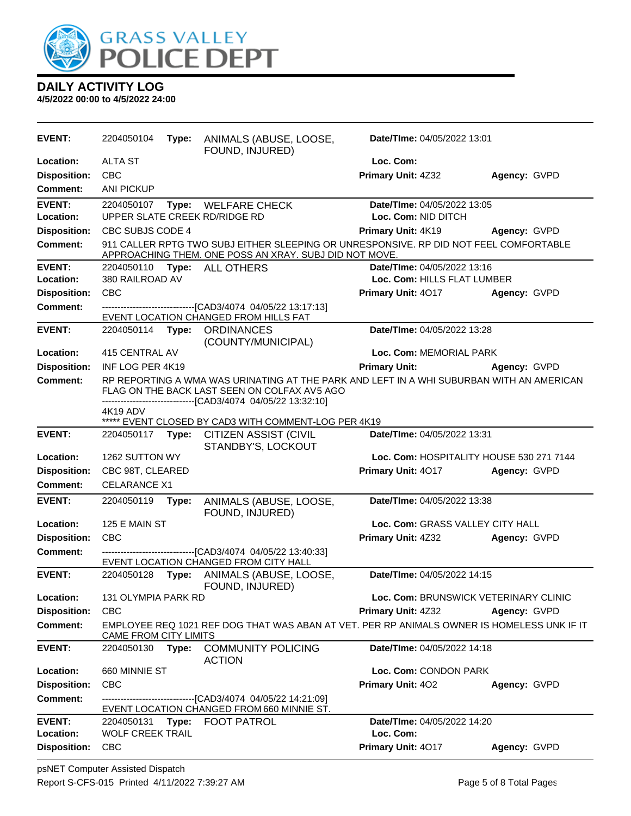

| <b>EVENT:</b>              | 2204050104                            | Type: | ANIMALS (ABUSE, LOOSE,<br>FOUND, INJURED)                                                                                                                                                                | Date/TIme: 04/05/2022 13:01                                |              |
|----------------------------|---------------------------------------|-------|----------------------------------------------------------------------------------------------------------------------------------------------------------------------------------------------------------|------------------------------------------------------------|--------------|
| Location:                  | <b>ALTA ST</b>                        |       |                                                                                                                                                                                                          | Loc. Com:                                                  |              |
| <b>Disposition:</b>        | <b>CBC</b>                            |       |                                                                                                                                                                                                          | Primary Unit: 4Z32                                         | Agency: GVPD |
| <b>Comment:</b>            | <b>ANI PICKUP</b>                     |       |                                                                                                                                                                                                          |                                                            |              |
| <b>EVENT:</b><br>Location: | 2204050107                            |       | Type: WELFARE CHECK<br>UPPER SLATE CREEK RD/RIDGE RD                                                                                                                                                     | Date/TIme: 04/05/2022 13:05<br>Loc. Com: NID DITCH         |              |
| <b>Disposition:</b>        | CBC SUBJS CODE 4                      |       |                                                                                                                                                                                                          | Primary Unit: 4K19                                         | Agency: GVPD |
| <b>Comment:</b>            |                                       |       | 911 CALLER RPTG TWO SUBJ EITHER SLEEPING OR UNRESPONSIVE. RP DID NOT FEEL COMFORTABLE<br>APPROACHING THEM. ONE POSS AN XRAY. SUBJ DID NOT MOVE.                                                          |                                                            |              |
| <b>EVENT:</b><br>Location: | 2204050110<br>380 RAILROAD AV         |       | Type: ALL OTHERS                                                                                                                                                                                         | Date/TIme: 04/05/2022 13:16<br>Loc. Com: HILLS FLAT LUMBER |              |
| <b>Disposition:</b>        | <b>CBC</b>                            |       |                                                                                                                                                                                                          | Primary Unit: 4017                                         | Agency: GVPD |
| <b>Comment:</b>            |                                       |       | ------------------[CAD3/4074_04/05/22 13:17:13]                                                                                                                                                          |                                                            |              |
|                            |                                       |       | EVENT LOCATION CHANGED FROM HILLS FAT                                                                                                                                                                    |                                                            |              |
| <b>EVENT:</b>              | 2204050114                            |       | Type: ORDINANCES<br>(COUNTY/MUNICIPAL)                                                                                                                                                                   | Date/TIme: 04/05/2022 13:28                                |              |
| Location:                  | 415 CENTRAL AV                        |       |                                                                                                                                                                                                          | Loc. Com: MEMORIAL PARK                                    |              |
| <b>Disposition:</b>        | INF LOG PER 4K19                      |       |                                                                                                                                                                                                          | <b>Primary Unit:</b>                                       | Agency: GVPD |
| Comment:                   |                                       |       | RP REPORTING A WMA WAS URINATING AT THE PARK AND LEFT IN A WHI SUBURBAN WITH AN AMERICAN<br>FLAG ON THE BACK LAST SEEN ON COLFAX AV5 AGO<br>-------------------------------[CAD3/4074_04/05/22_13:32:10] |                                                            |              |
|                            | 4K19 ADV                              |       | ***** EVENT CLOSED BY CAD3 WITH COMMENT-LOG PER 4K19                                                                                                                                                     |                                                            |              |
| <b>EVENT:</b>              | 2204050117                            | Type: | CITIZEN ASSIST (CIVIL<br>STANDBY'S, LOCKOUT                                                                                                                                                              | Date/TIme: 04/05/2022 13:31                                |              |
| Location:                  | 1262 SUTTON WY                        |       |                                                                                                                                                                                                          | Loc. Com: HOSPITALITY HOUSE 530 271 7144                   |              |
| <b>Disposition:</b>        | CBC 98T, CLEARED                      |       |                                                                                                                                                                                                          | Primary Unit: 4017                                         | Agency: GVPD |
| Comment:                   | <b>CELARANCE X1</b>                   |       |                                                                                                                                                                                                          |                                                            |              |
| <b>EVENT:</b>              | 2204050119                            | Type: | ANIMALS (ABUSE, LOOSE,<br>FOUND, INJURED)                                                                                                                                                                | Date/TIme: 04/05/2022 13:38                                |              |
| Location:                  | 125 E MAIN ST                         |       |                                                                                                                                                                                                          | Loc. Com: GRASS VALLEY CITY HALL                           |              |
| <b>Disposition:</b>        | <b>CBC</b>                            |       |                                                                                                                                                                                                          | Primary Unit: 4Z32                                         | Agency: GVPD |
| <b>Comment:</b>            |                                       |       | -------------------------------[CAD3/4074 04/05/22 13:40:33]<br>EVENT LOCATION CHANGED FROM CITY HALL                                                                                                    |                                                            |              |
| <b>EVENT:</b>              | 2204050128                            | Type: | ANIMALS (ABUSE, LOOSE,<br>FOUND, INJURED)                                                                                                                                                                | Date/TIme: 04/05/2022 14:15                                |              |
| Location:                  | 131 OLYMPIA PARK RD                   |       |                                                                                                                                                                                                          | Loc. Com: BRUNSWICK VETERINARY CLINIC                      |              |
| <b>Disposition:</b>        | <b>CBC</b>                            |       |                                                                                                                                                                                                          | <b>Primary Unit: 4Z32</b>                                  | Agency: GVPD |
| <b>Comment:</b>            | CAME FROM CITY LIMITS                 |       | EMPLOYEE REQ 1021 REF DOG THAT WAS ABAN AT VET. PER RP ANIMALS OWNER IS HOMELESS UNK IF IT                                                                                                               |                                                            |              |
| <b>EVENT:</b>              | 2204050130                            | Type: | <b>COMMUNITY POLICING</b><br><b>ACTION</b>                                                                                                                                                               | Date/TIme: 04/05/2022 14:18                                |              |
| Location:                  | 660 MINNIE ST                         |       |                                                                                                                                                                                                          | Loc. Com: CONDON PARK                                      |              |
| <b>Disposition:</b>        | <b>CBC</b>                            |       |                                                                                                                                                                                                          | Primary Unit: 402                                          | Agency: GVPD |
| Comment:                   |                                       |       | EVENT LOCATION CHANGED FROM 660 MINNIE ST.                                                                                                                                                               |                                                            |              |
| <b>EVENT:</b><br>Location: | 2204050131<br><b>WOLF CREEK TRAIL</b> | Type: | <b>FOOT PATROL</b>                                                                                                                                                                                       | Date/TIme: 04/05/2022 14:20<br>Loc. Com:                   |              |
| <b>Disposition:</b>        | CBC                                   |       |                                                                                                                                                                                                          | Primary Unit: 4017                                         | Agency: GVPD |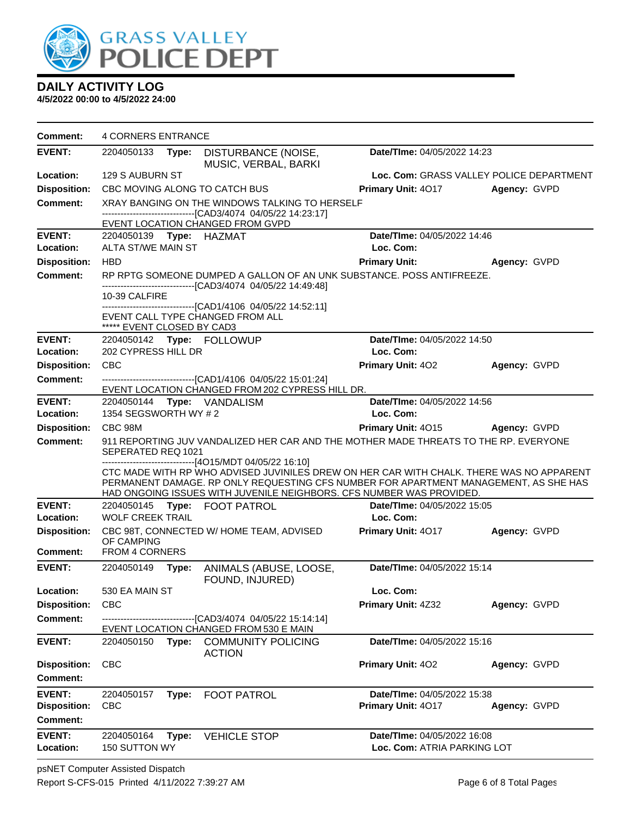

| <b>Comment:</b>     | <b>4 CORNERS ENTRANCE</b>                      |                                                                                                            |                                                                                                                                 |                                                                                                                                                                                  |                     |  |
|---------------------|------------------------------------------------|------------------------------------------------------------------------------------------------------------|---------------------------------------------------------------------------------------------------------------------------------|----------------------------------------------------------------------------------------------------------------------------------------------------------------------------------|---------------------|--|
| <b>EVENT:</b>       | 2204050133 Type:                               |                                                                                                            | DISTURBANCE (NOISE,<br>MUSIC, VERBAL, BARKI                                                                                     | Date/TIme: 04/05/2022 14:23                                                                                                                                                      |                     |  |
| Location:           | 129 S AUBURN ST                                |                                                                                                            |                                                                                                                                 | Loc. Com: GRASS VALLEY POLICE DEPARTMENT                                                                                                                                         |                     |  |
| <b>Disposition:</b> | CBC MOVING ALONG TO CATCH BUS                  |                                                                                                            |                                                                                                                                 | <b>Primary Unit: 4017</b>                                                                                                                                                        | <b>Agency: GVPD</b> |  |
| <b>Comment:</b>     | XRAY BANGING ON THE WINDOWS TALKING TO HERSELF |                                                                                                            |                                                                                                                                 |                                                                                                                                                                                  |                     |  |
|                     |                                                |                                                                                                            | -------------------------------[CAD3/4074 04/05/22 14:23:17]<br>EVENT LOCATION CHANGED FROM GVPD                                |                                                                                                                                                                                  |                     |  |
| <b>EVENT:</b>       |                                                |                                                                                                            |                                                                                                                                 | Date/TIme: 04/05/2022 14:46                                                                                                                                                      |                     |  |
| Location:           | ALTA ST/WE MAIN ST                             |                                                                                                            |                                                                                                                                 | Loc. Com:                                                                                                                                                                        |                     |  |
| <b>Disposition:</b> | <b>HBD</b>                                     |                                                                                                            |                                                                                                                                 | <b>Primary Unit:</b>                                                                                                                                                             | Agency: GVPD        |  |
| Comment:            |                                                |                                                                                                            | RP RPTG SOMEONE DUMPED A GALLON OF AN UNK SUBSTANCE. POSS ANTIFREEZE.                                                           |                                                                                                                                                                                  |                     |  |
|                     |                                                |                                                                                                            | -------------------------------[CAD3/4074 04/05/22 14:49:48]                                                                    |                                                                                                                                                                                  |                     |  |
|                     | 10-39 CALFIRE                                  |                                                                                                            |                                                                                                                                 |                                                                                                                                                                                  |                     |  |
|                     |                                                |                                                                                                            | ------------------------------[CAD1/4106 04/05/22 14:52:11]<br>EVENT CALL TYPE CHANGED FROM ALL                                 |                                                                                                                                                                                  |                     |  |
|                     | ***** EVENT CLOSED BY CAD3                     |                                                                                                            |                                                                                                                                 |                                                                                                                                                                                  |                     |  |
| <b>EVENT:</b>       |                                                |                                                                                                            | 2204050142 Type: FOLLOWUP                                                                                                       | Date/TIme: 04/05/2022 14:50                                                                                                                                                      |                     |  |
| Location:           | 202 CYPRESS HILL DR                            |                                                                                                            |                                                                                                                                 | Loc. Com:                                                                                                                                                                        |                     |  |
| <b>Disposition:</b> | <b>CBC</b>                                     |                                                                                                            |                                                                                                                                 | <b>Primary Unit: 402</b>                                                                                                                                                         | Agency: GVPD        |  |
| <b>Comment:</b>     |                                                |                                                                                                            | -------------------------------[CAD1/4106 04/05/22 15:01:24]<br>EVENT LOCATION CHANGED FROM 202 CYPRESS HILL DR.                |                                                                                                                                                                                  |                     |  |
| <b>EVENT:</b>       |                                                |                                                                                                            | 2204050144 Type: VANDALISM                                                                                                      | Date/TIme: 04/05/2022 14:56                                                                                                                                                      |                     |  |
| Location:           | 1354 SEGSWORTH WY #2                           |                                                                                                            |                                                                                                                                 | Loc. Com:                                                                                                                                                                        |                     |  |
| <b>Disposition:</b> | CBC 98M                                        |                                                                                                            |                                                                                                                                 | <b>Primary Unit: 4015</b>                                                                                                                                                        | <b>Agency: GVPD</b> |  |
| <b>Comment:</b>     |                                                | 911 REPORTING JUV VANDALIZED HER CAR AND THE MOTHER MADE THREATS TO THE RP. EVERYONE<br>SEPERATED REQ 1021 |                                                                                                                                 |                                                                                                                                                                                  |                     |  |
|                     |                                                |                                                                                                            | ------------------------------[4O15/MDT 04/05/22 16:10]<br>HAD ONGOING ISSUES WITH JUVENILE NEIGHBORS. CFS NUMBER WAS PROVIDED. | CTC MADE WITH RP WHO ADVISED JUVINILES DREW ON HER CAR WITH CHALK. THERE WAS NO APPARENT<br>PERMANENT DAMAGE. RP ONLY REQUESTING CFS NUMBER FOR APARTMENT MANAGEMENT, AS SHE HAS |                     |  |
| <b>EVENT:</b>       |                                                |                                                                                                            | 2204050145 Type: FOOT PATROL                                                                                                    | Date/TIme: 04/05/2022 15:05                                                                                                                                                      |                     |  |
| Location:           | <b>WOLF CREEK TRAIL</b>                        |                                                                                                            |                                                                                                                                 | Loc. Com:                                                                                                                                                                        |                     |  |
| <b>Disposition:</b> | OF CAMPING                                     |                                                                                                            | CBC 98T, CONNECTED W/ HOME TEAM, ADVISED                                                                                        | <b>Primary Unit: 4017</b>                                                                                                                                                        | Agency: GVPD        |  |
| <b>Comment:</b>     | FROM 4 CORNERS                                 |                                                                                                            |                                                                                                                                 |                                                                                                                                                                                  |                     |  |
| <b>EVENT:</b>       | 2204050149                                     | Type:                                                                                                      | ANIMALS (ABUSE, LOOSE,<br>FOUND, INJURED)                                                                                       | Date/TIme: 04/05/2022 15:14                                                                                                                                                      |                     |  |
| Location:           | 530 EA MAIN ST                                 |                                                                                                            |                                                                                                                                 | Loc. Com:                                                                                                                                                                        |                     |  |
| <b>Disposition:</b> | <b>CBC</b>                                     |                                                                                                            |                                                                                                                                 | Primary Unit: 4Z32                                                                                                                                                               | Agency: GVPD        |  |
| <b>Comment:</b>     |                                                |                                                                                                            | -------------------------------[CAD3/4074 04/05/22 15:14:14]<br>EVENT LOCATION CHANGED FROM 530 E MAIN                          |                                                                                                                                                                                  |                     |  |
| <b>EVENT:</b>       |                                                |                                                                                                            | 2204050150 Type: COMMUNITY POLICING<br><b>ACTION</b>                                                                            | Date/TIme: 04/05/2022 15:16                                                                                                                                                      |                     |  |
| <b>Disposition:</b> | <b>CBC</b>                                     |                                                                                                            |                                                                                                                                 | Primary Unit: 402                                                                                                                                                                | Agency: GVPD        |  |
| <b>Comment:</b>     |                                                |                                                                                                            |                                                                                                                                 |                                                                                                                                                                                  |                     |  |
| <b>EVENT:</b>       | 2204050157                                     | Type:                                                                                                      | <b>FOOT PATROL</b>                                                                                                              | Date/TIme: 04/05/2022 15:38                                                                                                                                                      |                     |  |
| <b>Disposition:</b> | CBC                                            |                                                                                                            |                                                                                                                                 | Primary Unit: 4017                                                                                                                                                               | Agency: GVPD        |  |
| <b>Comment:</b>     |                                                |                                                                                                            |                                                                                                                                 |                                                                                                                                                                                  |                     |  |
| <b>EVENT:</b>       | 2204050164                                     | Type:                                                                                                      | <b>VEHICLE STOP</b>                                                                                                             | Date/TIme: 04/05/2022 16:08                                                                                                                                                      |                     |  |
| Location:           | 150 SUTTON WY                                  |                                                                                                            |                                                                                                                                 | Loc. Com: ATRIA PARKING LOT                                                                                                                                                      |                     |  |
|                     |                                                |                                                                                                            |                                                                                                                                 |                                                                                                                                                                                  |                     |  |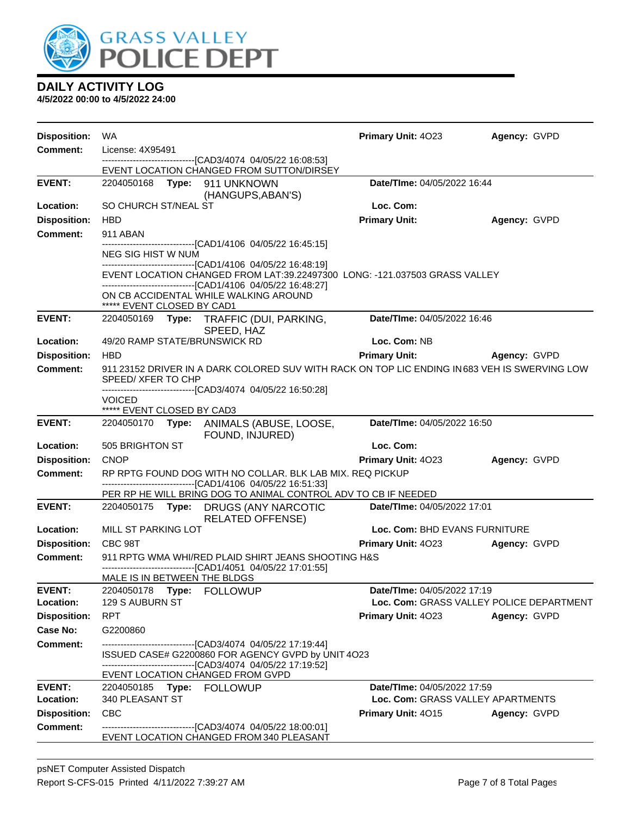

| <b>Disposition:</b>  | WA                                                                               |                                                                                                                                           | <b>Primary Unit: 4023</b>          | Agency: GVPD                             |
|----------------------|----------------------------------------------------------------------------------|-------------------------------------------------------------------------------------------------------------------------------------------|------------------------------------|------------------------------------------|
| <b>Comment:</b>      | License: 4X95491<br>-------------------------------[CAD3/4074 04/05/22 16:08:53] |                                                                                                                                           |                                    |                                          |
|                      |                                                                                  | EVENT LOCATION CHANGED FROM SUTTON/DIRSEY                                                                                                 |                                    |                                          |
| <b>EVENT:</b>        | 2204050168 Type: 911 UNKNOWN                                                     | (HANGUPS, ABAN'S)                                                                                                                         | Date/TIme: 04/05/2022 16:44        |                                          |
| Location:            | SO CHURCH ST/NEAL ST                                                             |                                                                                                                                           | Loc. Com:                          |                                          |
| <b>Disposition:</b>  | <b>HBD</b>                                                                       |                                                                                                                                           | <b>Primary Unit:</b>               | Agency: GVPD                             |
| Comment:             | 911 ABAN                                                                         |                                                                                                                                           |                                    |                                          |
|                      | NEG SIG HIST W NUM                                                               | ------------------------------[CAD1/4106 04/05/22 16:45:15]                                                                               |                                    |                                          |
|                      |                                                                                  | -------------------------------[CAD1/4106 04/05/22 16:48:19]                                                                              |                                    |                                          |
|                      |                                                                                  | EVENT LOCATION CHANGED FROM LAT:39.22497300 LONG: -121.037503 GRASS VALLEY<br>------------------------------[CAD1/4106 04/05/22 16:48:27] |                                    |                                          |
|                      |                                                                                  | ON CB ACCIDENTAL WHILE WALKING AROUND                                                                                                     |                                    |                                          |
| <b>EVENT:</b>        | ***** EVENT CLOSED BY CAD1                                                       |                                                                                                                                           | Date/TIme: 04/05/2022 16:46        |                                          |
|                      |                                                                                  | 2204050169 Type: TRAFFIC (DUI, PARKING,<br>SPEED, HAZ                                                                                     |                                    |                                          |
| Location:            | 49/20 RAMP STATE/BRUNSWICK RD                                                    |                                                                                                                                           | Loc. Com: NB                       |                                          |
| <b>Disposition:</b>  | <b>HBD</b>                                                                       |                                                                                                                                           | <b>Primary Unit:</b>               | Agency: GVPD                             |
| <b>Comment:</b>      |                                                                                  | 911 23152 DRIVER IN A DARK COLORED SUV WITH RACK ON TOP LIC ENDING IN683 VEH IS SWERVING LOW                                              |                                    |                                          |
|                      | SPEED/ XFER TO CHP                                                               | -------------------------------[CAD3/4074_04/05/22 16:50:28]                                                                              |                                    |                                          |
|                      | <b>VOICED</b>                                                                    |                                                                                                                                           |                                    |                                          |
| <b>EVENT:</b>        | ***** EVENT CLOSED BY CAD3                                                       | 2204050170 Type: ANIMALS (ABUSE, LOOSE,                                                                                                   | Date/TIme: 04/05/2022 16:50        |                                          |
|                      |                                                                                  | FOUND, INJURED)                                                                                                                           |                                    |                                          |
| Location:            | 505 BRIGHTON ST                                                                  |                                                                                                                                           | Loc. Com:                          |                                          |
| <b>Disposition:</b>  | <b>CNOP</b>                                                                      |                                                                                                                                           | <b>Primary Unit: 4023</b>          | Agency: GVPD                             |
| <b>Comment:</b>      |                                                                                  | RP RPTG FOUND DOG WITH NO COLLAR. BLK LAB MIX. REQ PICKUP<br>-------------------------------[CAD1/4106 04/05/22 16:51:33]                 |                                    |                                          |
|                      |                                                                                  | PER RP HE WILL BRING DOG TO ANIMAL CONTROL ADV TO CB IF NEEDED                                                                            |                                    |                                          |
| <b>EVENT:</b>        |                                                                                  | 2204050175 Type: DRUGS (ANY NARCOTIC<br><b>RELATED OFFENSE)</b>                                                                           | <b>Date/Time: 04/05/2022 17:01</b> |                                          |
| Location:            | MILL ST PARKING LOT                                                              |                                                                                                                                           | Loc. Com: BHD EVANS FURNITURE      |                                          |
| <b>Disposition:</b>  | CBC 98T                                                                          |                                                                                                                                           | Primary Unit: 4023 Agency: GVPD    |                                          |
| <b>Comment:</b>      |                                                                                  | 911 RPTG WMA WHI/RED PLAID SHIRT JEANS SHOOTING H&S<br>-------------------------------[CAD1/4051 04/05/22 17:01:55]                       |                                    |                                          |
|                      | MALE IS IN BETWEEN THE BLDGS                                                     |                                                                                                                                           |                                    |                                          |
| <b>EVENT:</b>        | 2204050178                                                                       | <b>Type: FOLLOWUP</b>                                                                                                                     | Date/TIme: 04/05/2022 17:19        |                                          |
| Location:            | <b>129 S AUBURN ST</b>                                                           |                                                                                                                                           |                                    | Loc. Com: GRASS VALLEY POLICE DEPARTMENT |
| <b>Disposition:</b>  | <b>RPT</b>                                                                       |                                                                                                                                           | <b>Primary Unit: 4023</b>          | Agency: GVPD                             |
| Case No:<br>Comment: | G2200860                                                                         | ------------------------------[CAD3/4074_04/05/22 17:19:44]                                                                               |                                    |                                          |
|                      |                                                                                  | ISSUED CASE# G2200860 FOR AGENCY GVPD by UNIT 4O23                                                                                        |                                    |                                          |
|                      |                                                                                  | -------------------------------[CAD3/4074_04/05/22 17:19:52]                                                                              |                                    |                                          |
| <b>EVENT:</b>        |                                                                                  | EVENT LOCATION CHANGED FROM GVPD                                                                                                          | Date/TIme: 04/05/2022 17:59        |                                          |
| Location:            | 340 PLEASANT ST                                                                  |                                                                                                                                           | Loc. Com: GRASS VALLEY APARTMENTS  |                                          |
| <b>Disposition:</b>  | <b>CBC</b>                                                                       |                                                                                                                                           | Primary Unit: 4015                 | Agency: GVPD                             |
| <b>Comment:</b>      |                                                                                  | -------------------------------[CAD3/4074_04/05/22_18:00:01]<br>EVENT LOCATION CHANGED FROM 340 PLEASANT                                  |                                    |                                          |